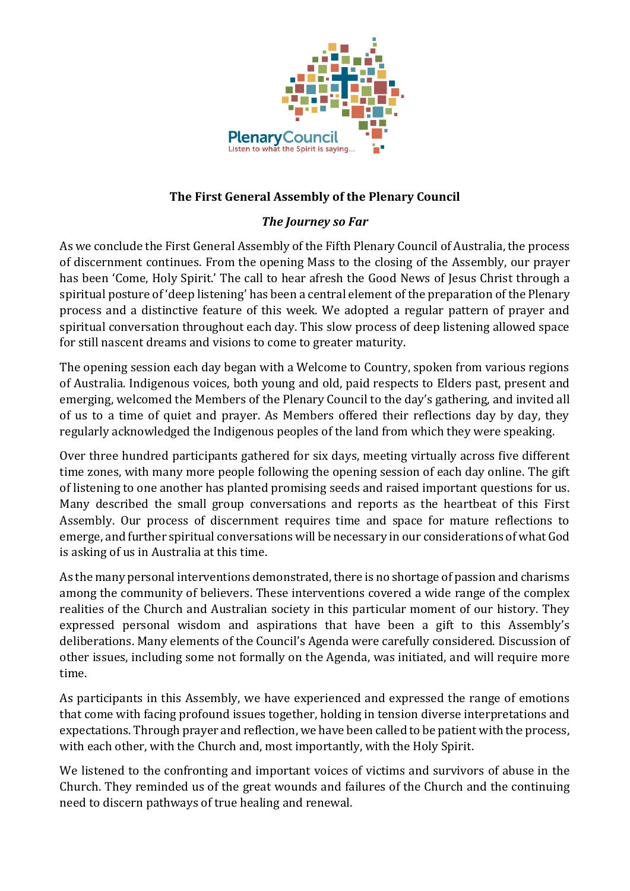

## **The First General Assembly of the Plenary Council**

## *The Journey so Far*

As we conclude the First General Assembly of the Fifth Plenary Council of Australia, the process of discernment continues. From the opening Mass to the closing of the Assembly, our prayer has been 'Come, Holy Spirit.' The call to hear afresh the Good News of Jesus Christ through a spiritual posture of 'deep listening' has been a central element of the preparation of the Plenary process and a distinctive feature of this week. We adopted a regular pattern of prayer and spiritual conversation throughout each day. This slow process of deep listening allowed space for still nascent dreams and visions to come to greater maturity.

The opening session each day began with a Welcome to Country, spoken from various regions of Australia. Indigenous voices, both young and old, paid respects to Elders past, present and emerging, welcomed the Members of the Plenary Council to the day's gathering, and invited all of us to a time of quiet and prayer. As Members offered their reflections day by day, they regularly acknowledged the Indigenous peoples of the land from which they were speaking.

Over three hundred participants gathered for six days, meeting virtually across five different time zones, with many more people following the opening session of each day online. The gift of listening to one another has planted promising seeds and raised important questions for us. Many described the small group conversations and reports as the heartbeat of this First Assembly. Our process of discernment requires time and space for mature reflections to emerge, and further spiritual conversations will be necessary in our considerations of what God is asking of us in Australia at this time.

As the many personal interventions demonstrated, there is no shortage of passion and charisms among the community of believers. These interventions covered a wide range of the complex realities of the Church and Australian society in this particular moment of our history. They expressed personal wisdom and aspirations that have been a gift to this Assembly's deliberations. Many elements of the Council's Agenda were carefully considered. Discussion of other issues, including some not formally on the Agenda, was initiated, and will require more time.

As participants in this Assembly, we have experienced and expressed the range of emotions that come with facing profound issues together, holding in tension diverse interpretations and expectations. Through prayer and reflection, we have been called to be patient with the process, with each other, with the Church and, most importantly, with the Holy Spirit.

We listened to the confronting and important voices of victims and survivors of abuse in the Church. They reminded us of the great wounds and failures of the Church and the continuing need to discern pathways of true healing and renewal.